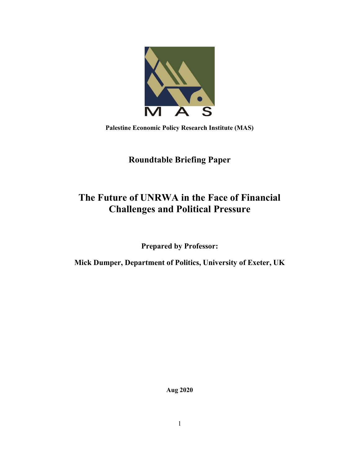

Palestine Economic Policy Research Institute (MAS)

# Roundtable Briefing Paper

# The Future of UNRWA in the Face of Financial Challenges and Political Pressure

Prepared by Professor:

Mick Dumper, Department of Politics, University of Exeter, UK

Aug 2020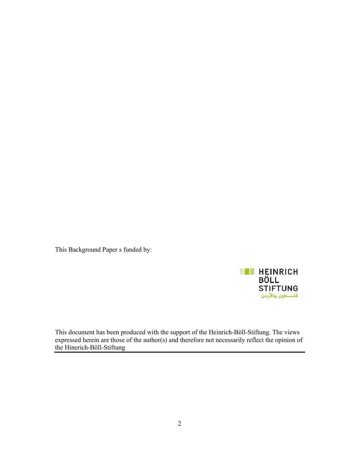This Background Paper s funded by:



This document has been produced with the support of the Heinrich-Böll-Stiftung. The views expressed herein are those of the author(s) and therefore not necessarily reflect the opinion of the Hinerich-Böll-Stiftung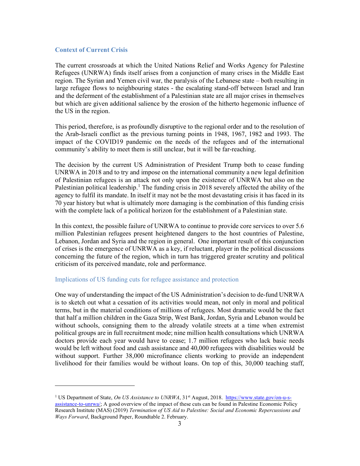#### Context of Current Crisis

The current crossroads at which the United Nations Relief and Works Agency for Palestine Refugees (UNRWA) finds itself arises from a conjunction of many crises in the Middle East region. The Syrian and Yemen civil war, the paralysis of the Lebanese state – both resulting in large refugee flows to neighbouring states - the escalating stand-off between Israel and Iran and the deferment of the establishment of a Palestinian state are all major crises in themselves but which are given additional salience by the erosion of the hitherto hegemonic influence of the US in the region.

This period, therefore, is as profoundly disruptive to the regional order and to the resolution of the Arab-Israeli conflict as the previous turning points in 1948, 1967, 1982 and 1993. The impact of the COVID19 pandemic on the needs of the refugees and of the international community's ability to meet them is still unclear, but it will be far-reaching.

The decision by the current US Administration of President Trump both to cease funding UNRWA in 2018 and to try and impose on the international community a new legal definition of Palestinian refugees is an attack not only upon the existence of UNRWA but also on the Palestinian political leadership.<sup>1</sup> The funding crisis in 2018 severely affected the ability of the agency to fulfil its mandate. In itself it may not be the most devastating crisis it has faced in its 70 year history but what is ultimately more damaging is the combination of this funding crisis with the complete lack of a political horizon for the establishment of a Palestinian state.

In this context, the possible failure of UNRWA to continue to provide core services to over 5.6 million Palestinian refugees present heightened dangers to the host countries of Palestine, Lebanon, Jordan and Syria and the region in general. One important result of this conjunction of crises is the emergence of UNRWA as a key, if reluctant, player in the political discussions concerning the future of the region, which in turn has triggered greater scrutiny and political criticism of its perceived mandate, role and performance.

# Implications of US funding cuts for refugee assistance and protection

One way of understanding the impact of the US Administration's decision to de-fund UNRWA is to sketch out what a cessation of its activities would mean, not only in moral and political terms, but in the material conditions of millions of refugees. Most dramatic would be the fact that half a million children in the Gaza Strip, West Bank, Jordan, Syria and Lebanon would be without schools, consigning them to the already volatile streets at a time when extremist political groups are in full recruitment mode; nine million health consultations which UNRWA doctors provide each year would have to cease; 1.7 million refugees who lack basic needs would be left without food and cash assistance and 40,000 refugees with disabilities would be without support. Further 38,000 microfinance clients working to provide an independent livelihood for their families would be without loans. On top of this, 30,000 teaching staff,

<sup>&</sup>lt;sup>1</sup> US Department of State, On US Assistance to UNRWA, 31<sup>st</sup> August, 2018. https://www.state.gov/on-u-sassistance-to-unrwa/; A good overview of the impact of these cuts can be found in Palestine Economic Policy Research Institute (MAS) (2019) Termination of US Aid to Palestine: Social and Economic Repercussions and Ways Forward, Background Paper, Roundtable 2. February.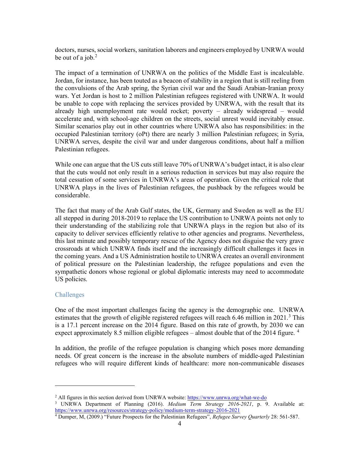doctors, nurses, social workers, sanitation laborers and engineers employed by UNRWA would be out of a job. $<sup>2</sup>$ </sup>

The impact of a termination of UNRWA on the politics of the Middle East is incalculable. Jordan, for instance, has been touted as a beacon of stability in a region that is still reeling from the convulsions of the Arab spring, the Syrian civil war and the Saudi Arabian-Iranian proxy wars. Yet Jordan is host to 2 million Palestinian refugees registered with UNRWA. It would be unable to cope with replacing the services provided by UNRWA, with the result that its already high unemployment rate would rocket; poverty – already widespread – would accelerate and, with school-age children on the streets, social unrest would inevitably ensue. Similar scenarios play out in other countries where UNRWA also has responsibilities: in the occupied Palestinian territory (oPt) there are nearly 3 million Palestinian refugees; in Syria, UNRWA serves, despite the civil war and under dangerous conditions, about half a million Palestinian refugees.

While one can argue that the US cuts still leave 70% of UNRWA's budget intact, it is also clear that the cuts would not only result in a serious reduction in services but may also require the total cessation of some services in UNRWA's areas of operation. Given the critical role that UNRWA plays in the lives of Palestinian refugees, the pushback by the refugees would be considerable.

The fact that many of the Arab Gulf states, the UK, Germany and Sweden as well as the EU all stepped in during 2018-2019 to replace the US contribution to UNRWA points not only to their understanding of the stabilizing role that UNRWA plays in the region but also of its capacity to deliver services efficiently relative to other agencies and programs. Nevertheless, this last minute and possibly temporary rescue of the Agency does not disguise the very grave crossroads at which UNRWA finds itself and the increasingly difficult challenges it faces in the coming years. And a US Administration hostile to UNRWA creates an overall environment of political pressure on the Palestinian leadership, the refugee populations and even the sympathetic donors whose regional or global diplomatic interests may need to accommodate US policies.

## Challenges

One of the most important challenges facing the agency is the demographic one. UNRWA estimates that the growth of eligible registered refugees will reach 6.46 million in 2021.<sup>3</sup> This is a 17.1 percent increase on the 2014 figure. Based on this rate of growth, by 2030 we can expect approximately 8.5 million eligible refugees – almost double that of the 2014 figure.  $4$ 

In addition, the profile of the refugee population is changing which poses more demanding needs. Of great concern is the increase in the absolute numbers of middle-aged Palestinian refugees who will require different kinds of healthcare: more non-communicable diseases

<sup>&</sup>lt;sup>2</sup> All figures in this section derived from UNRWA website: https://www.unrwa.org/what-we-do

<sup>&</sup>lt;sup>3</sup> UNRWA Department of Planning (2016). Medium Term Strategy 2016-2021, p. 9. Available at: https://www.unrwa.org/resources/strategy-policy/medium-term-strategy-2016-2021

<sup>&</sup>lt;sup>4</sup> Dumper, M, (2009.) "Future Prospects for the Palestinian Refugees", Refugee Survey Quarterly 28: 561-587.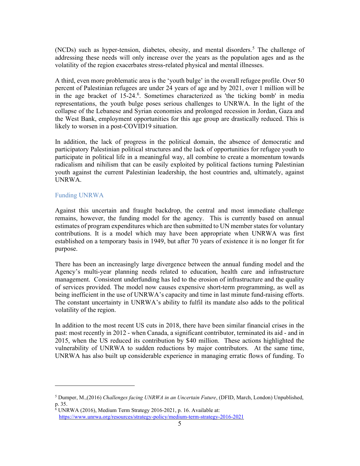(NCDs) such as hyper-tension, diabetes, obesity, and mental disorders.<sup>5</sup> The challenge of addressing these needs will only increase over the years as the population ages and as the volatility of the region exacerbates stress-related physical and mental illnesses.

A third, even more problematic area is the 'youth bulge' in the overall refugee profile. Over 50 percent of Palestinian refugees are under 24 years of age and by 2021, over 1 million will be in the age bracket of 15-24.<sup>6</sup>. Sometimes characterized as 'the ticking bomb' in media representations, the youth bulge poses serious challenges to UNRWA. In the light of the collapse of the Lebanese and Syrian economies and prolonged recession in Jordan, Gaza and the West Bank, employment opportunities for this age group are drastically reduced. This is likely to worsen in a post-COVID19 situation.

In addition, the lack of progress in the political domain, the absence of democratic and participatory Palestinian political structures and the lack of opportunities for refugee youth to participate in political life in a meaningful way, all combine to create a momentum towards radicalism and nihilism that can be easily exploited by political factions turning Palestinian youth against the current Palestinian leadership, the host countries and, ultimately, against UNRWA.

# Funding UNRWA

Against this uncertain and fraught backdrop, the central and most immediate challenge remains, however, the funding model for the agency. This is currently based on annual estimates of program expenditures which are then submitted to UN member states for voluntary contributions. It is a model which may have been appropriate when UNRWA was first established on a temporary basis in 1949, but after 70 years of existence it is no longer fit for purpose.

There has been an increasingly large divergence between the annual funding model and the Agency's multi-year planning needs related to education, health care and infrastructure management. Consistent underfunding has led to the erosion of infrastructure and the quality of services provided. The model now causes expensive short-term programming, as well as being inefficient in the use of UNRWA's capacity and time in last minute fund-raising efforts. The constant uncertainty in UNRWA's ability to fulfil its mandate also adds to the political volatility of the region.

In addition to the most recent US cuts in 2018, there have been similar financial crises in the past: most recently in 2012 - when Canada, a significant contributor, terminated its aid - and in 2015, when the US reduced its contribution by \$40 million. These actions highlighted the vulnerability of UNRWA to sudden reductions by major contributors. At the same time, UNRWA has also built up considerable experience in managing erratic flows of funding. To

<sup>&</sup>lt;sup>5</sup> Dumper, M.,(2016) Challenges facing UNRWA in an Uncertain Future, (DFID, March, London) Unpublished, p. 35.

<sup>6</sup> UNRWA (2016), Medium Term Strategy 2016-2021, p. 16. Available at: https://www.unrwa.org/resources/strategy-policy/medium-term-strategy-2016-2021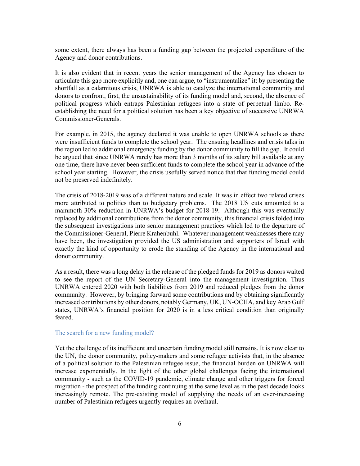some extent, there always has been a funding gap between the projected expenditure of the Agency and donor contributions.

It is also evident that in recent years the senior management of the Agency has chosen to articulate this gap more explicitly and, one can argue, to "instrumentalize" it: by presenting the shortfall as a calamitous crisis, UNRWA is able to catalyze the international community and donors to confront, first, the unsustainability of its funding model and, second, the absence of political progress which entraps Palestinian refugees into a state of perpetual limbo. Reestablishing the need for a political solution has been a key objective of successive UNRWA Commissioner-Generals.

For example, in 2015, the agency declared it was unable to open UNRWA schools as there were insufficient funds to complete the school year. The ensuing headlines and crisis talks in the region led to additional emergency funding by the donor community to fill the gap. It could be argued that since UNRWA rarely has more than 3 months of its salary bill available at any one time, there have never been sufficient funds to complete the school year in advance of the school year starting. However, the crisis usefully served notice that that funding model could not be preserved indefinitely.

The crisis of 2018-2019 was of a different nature and scale. It was in effect two related crises more attributed to politics than to budgetary problems. The 2018 US cuts amounted to a mammoth 30% reduction in UNRWA's budget for 2018-19. Although this was eventually replaced by additional contributions from the donor community, this financial crisis folded into the subsequent investigations into senior management practices which led to the departure of the Commissioner-General, Pierre Krahenbuhl. Whatever management weaknesses there may have been, the investigation provided the US administration and supporters of Israel with exactly the kind of opportunity to erode the standing of the Agency in the international and donor community.

As a result, there was a long delay in the release of the pledged funds for 2019 as donors waited to see the report of the UN Secretary-General into the management investigation. Thus UNRWA entered 2020 with both liabilities from 2019 and reduced pledges from the donor community. However, by bringing forward some contributions and by obtaining significantly increased contributions by other donors, notably Germany, UK, UN-OCHA, and key Arab Gulf states, UNRWA's financial position for 2020 is in a less critical condition than originally feared.

#### The search for a new funding model?

Yet the challenge of its inefficient and uncertain funding model still remains. It is now clear to the UN, the donor community, policy-makers and some refugee activists that, in the absence of a political solution to the Palestinian refugee issue, the financial burden on UNRWA will increase exponentially. In the light of the other global challenges facing the international community - such as the COVID-19 pandemic, climate change and other triggers for forced migration - the prospect of the funding continuing at the same level as in the past decade looks increasingly remote. The pre-existing model of supplying the needs of an ever-increasing number of Palestinian refugees urgently requires an overhaul.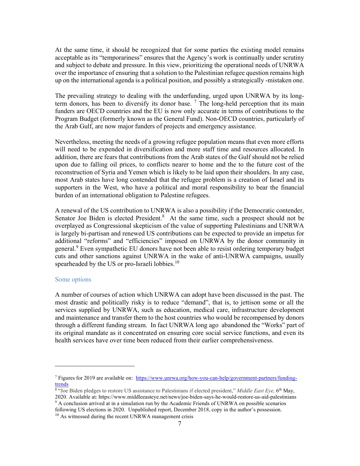At the same time, it should be recognized that for some parties the existing model remains acceptable as its "temporariness" ensures that the Agency's work is continually under scrutiny and subject to debate and pressure. In this view, prioritizing the operational needs of UNRWA over the importance of ensuring that a solution to the Palestinian refugee question remains high up on the international agenda is a political position, and possibly a strategically -mistaken one.

The prevailing strategy to dealing with the underfunding, urged upon UNRWA by its longterm donors, has been to diversify its donor base.  $<sup>7</sup>$  The long-held perception that its main</sup> funders are OECD countries and the EU is now only accurate in terms of contributions to the Program Budget (formerly known as the General Fund). Non-OECD countries, particularly of the Arab Gulf, are now major funders of projects and emergency assistance.

Nevertheless, meeting the needs of a growing refugee population means that even more efforts will need to be expended in diversification and more staff time and resources allocated. In addition, there are fears that contributions from the Arab states of the Gulf should not be relied upon due to falling oil prices, to conflicts nearer to home and the to the future cost of the reconstruction of Syria and Yemen which is likely to be laid upon their shoulders. In any case, most Arab states have long contended that the refugee problem is a creation of Israel and its supporters in the West, who have a political and moral responsibility to bear the financial burden of an international obligation to Palestine refugees.

A renewal of the US contribution to UNRWA is also a possibility if the Democratic contender, Senator Joe Biden is elected President.<sup>8</sup> At the same time, such a prospect should not be overplayed as Congressional skepticism of the value of supporting Palestinians and UNRWA is largely bi-partisan and renewed US contributions can be expected to provide an impetus for additional "reforms" and "efficiencies" imposed on UNRWA by the donor community in general.<sup>9</sup> Even sympathetic EU donors have not been able to resist ordering temporary budget cuts and other sanctions against UNRWA in the wake of anti-UNRWA campaigns, usually spearheaded by the US or pro-Israeli lobbies.<sup>10</sup>

## Some options

A number of courses of action which UNRWA can adopt have been discussed in the past. The most drastic and politically risky is to reduce "demand", that is, to jettison some or all the services supplied by UNRWA, such as education, medical care, infrastructure development and maintenance and transfer them to the host countries who would be recompensed by donors through a different funding stream. In fact UNRWA long ago abandoned the "Works" part of its original mandate as it concentrated on ensuring core social service functions, and even its health services have over time been reduced from their earlier comprehensiveness.

<sup>&</sup>lt;sup>7</sup> Figures for 2019 are available on: https://www.unrwa.org/how-you-can-help/government-partners/fundingtrends

<sup>&</sup>lt;sup>8</sup> "Joe Biden pledges to restore US assistance to Palestinians if elected president," Middle East Eye, 6<sup>th</sup> May, 2020. Available at: https://www.middleeasteye.net/news/joe-biden-says-he-would-restore-us-aid-palestinians

<sup>9</sup> A conclusion arrived at in a simulation run by the Academic Friends of UNRWA on possible scenarios following US elections in 2020. Unpublished report, December 2018, copy in the author's possession.

 $10$  As witnessed during the recent UNRWA management crisis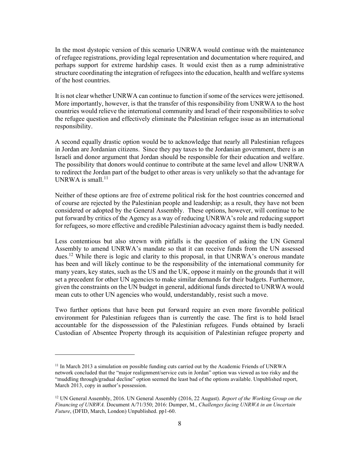In the most dystopic version of this scenario UNRWA would continue with the maintenance of refugee registrations, providing legal representation and documentation where required, and perhaps support for extreme hardship cases. It would exist then as a rump administrative structure coordinating the integration of refugees into the education, health and welfare systems of the host countries.

It is not clear whether UNRWA can continue to function if some of the services were jettisoned. More importantly, however, is that the transfer of this responsibility from UNRWA to the host countries would relieve the international community and Israel of their responsibilities to solve the refugee question and effectively eliminate the Palestinian refugee issue as an international responsibility.

A second equally drastic option would be to acknowledge that nearly all Palestinian refugees in Jordan are Jordanian citizens. Since they pay taxes to the Jordanian government, there is an Israeli and donor argument that Jordan should be responsible for their education and welfare. The possibility that donors would continue to contribute at the same level and allow UNRWA to redirect the Jordan part of the budget to other areas is very unlikely so that the advantage for UNRWA is small.<sup>11</sup>

Neither of these options are free of extreme political risk for the host countries concerned and of course are rejected by the Palestinian people and leadership; as a result, they have not been considered or adopted by the General Assembly. These options, however, will continue to be put forward by critics of the Agency as a way of reducing UNRWA's role and reducing support for refugees, so more effective and credible Palestinian advocacy against them is badly needed.

Less contentious but also strewn with pitfalls is the question of asking the UN General Assembly to amend UNRWA's mandate so that it can receive funds from the UN assessed dues.<sup>12</sup> While there is logic and clarity to this proposal, in that UNRWA's onerous mandate has been and will likely continue to be the responsibility of the international community for many years, key states, such as the US and the UK, oppose it mainly on the grounds that it will set a precedent for other UN agencies to make similar demands for their budgets. Furthermore, given the constraints on the UN budget in general, additional funds directed to UNRWA would mean cuts to other UN agencies who would, understandably, resist such a move.

Two further options that have been put forward require an even more favorable political environment for Palestinian refugees than is currently the case. The first is to hold Israel accountable for the dispossession of the Palestinian refugees. Funds obtained by Israeli Custodian of Absentee Property through its acquisition of Palestinian refugee property and

<sup>&</sup>lt;sup>11</sup> In March 2013 a simulation on possible funding cuts carried out by the Academic Friends of UNRWA network concluded that the "major realignment/service cuts in Jordan" option was viewed as too risky and the "muddling through/gradual decline" option seemed the least bad of the options available. Unpublished report, March 2013, copy in author's possession.

<sup>&</sup>lt;sup>12</sup> UN General Assembly, 2016. UN General Assembly (2016, 22 August). Report of the Working Group on the Financing of UNRWA. Document A/71/350; 2016: Dumper, M., Challenges facing UNRWA in an Uncertain Future, (DFID, March, London) Unpublished. pp1-60.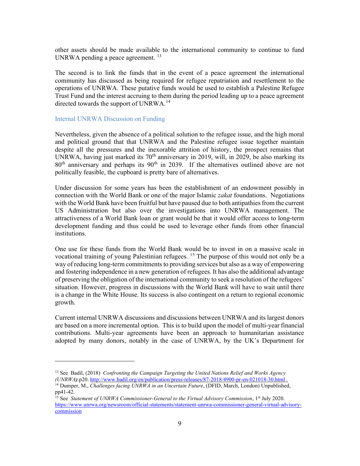other assets should be made available to the international community to continue to fund UNRWA pending a peace agreement.<sup>13</sup>

The second is to link the funds that in the event of a peace agreement the international community has discussed as being required for refugee repatriation and resettlement to the operations of UNRWA. These putative funds would be used to establish a Palestine Refugee Trust Fund and the interest accruing to them during the period leading up to a peace agreement directed towards the support of UNRWA.<sup>14</sup>

#### Internal UNRWA Discussion on Funding

Nevertheless, given the absence of a political solution to the refugee issue, and the high moral and political ground that that UNRWA and the Palestine refugee issue together maintain despite all the pressures and the inexorable attrition of history, the prospect remains that UNRWA, having just marked its  $70<sup>th</sup>$  anniversary in 2019, will, in 2029, be also marking its 80<sup>th</sup> anniversary and perhaps its 90<sup>th</sup> in 2039. If the alternatives outlined above are not politically feasible, the cupboard is pretty bare of alternatives.

Under discussion for some years has been the establishment of an endowment possibly in connection with the World Bank or one of the major Islamic *zakat* foundations. Negotiations with the World Bank have been fruitful but have paused due to both antipathies from the current US Administration but also over the investigations into UNRWA management. The attractiveness of a World Bank loan or grant would be that it would offer access to long-term development funding and thus could be used to leverage other funds from other financial institutions.

One use for these funds from the World Bank would be to invest in on a massive scale in vocational training of young Palestinian refugees.  $15$  The purpose of this would not only be a way of reducing long-term commitments to providing services but also as a way of empowering and fostering independence in a new generation of refugees. It has also the additional advantage of preserving the obligation of the international community to seek a resolution of the refugees' situation. However, progress in discussions with the World Bank will have to wait until there is a change in the White House. Its success is also contingent on a return to regional economic growth.

Current internal UNRWA discussions and discussions between UNRWA and its largest donors are based on a more incremental option. This is to build upon the model of multi-year financial contributions. Multi-year agreements have been an approach to humanitarian assistance adopted by many donors, notably in the case of UNRWA, by the UK's Department for

<sup>&</sup>lt;sup>13</sup> See Badil, (2018) Confronting the Campaign Targeting the United Nations Relief and Works Agency (UNRWA).p20. http://www.badil.org/en/publication/press-releases/87-2018/4900-pr-en-021018-30.html .

 $14$  Dumper, M., Challenges facing UNRWA in an Uncertain Future, (DFID, March, London) Unpublished, pp41-42.

<sup>&</sup>lt;sup>15</sup> See Statement of UNRWA Commissioner-General to the Virtual Advisory Commission, 1<sup>st</sup> July 2020. https://www.unrwa.org/newsroom/official-statements/statement-unrwa-commissioner-general-virtual-advisorycommission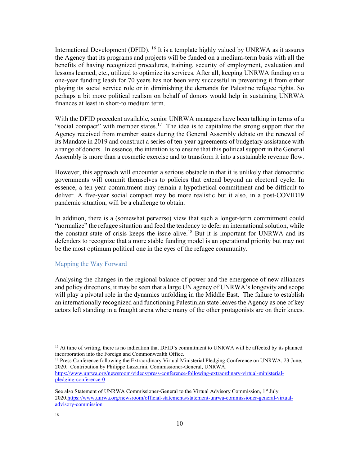International Development (DFID). <sup>16</sup> It is a template highly valued by UNRWA as it assures the Agency that its programs and projects will be funded on a medium-term basis with all the benefits of having recognized procedures, training, security of employment, evaluation and lessons learned, etc., utilized to optimize its services. After all, keeping UNRWA funding on a one-year funding leash for 70 years has not been very successful in preventing it from either playing its social service role or in diminishing the demands for Palestine refugee rights. So perhaps a bit more political realism on behalf of donors would help in sustaining UNRWA finances at least in short-to medium term.

With the DFID precedent available, senior UNRWA managers have been talking in terms of a "social compact" with member states.<sup>17</sup> The idea is to capitalize the strong support that the Agency received from member states during the General Assembly debate on the renewal of its Mandate in 2019 and construct a series of ten-year agreements of budgetary assistance with a range of donors. In essence, the intention is to ensure that this political support in the General Assembly is more than a cosmetic exercise and to transform it into a sustainable revenue flow.

However, this approach will encounter a serious obstacle in that it is unlikely that democratic governments will commit themselves to policies that extend beyond an electoral cycle. In essence, a ten-year commitment may remain a hypothetical commitment and be difficult to deliver. A five-year social compact may be more realistic but it also, in a post-COVID19 pandemic situation, will be a challenge to obtain.

In addition, there is a (somewhat perverse) view that such a longer-term commitment could "normalize" the refugee situation and feed the tendency to defer an international solution, while the constant state of crisis keeps the issue alive.<sup>18</sup> But it is important for UNRWA and its defenders to recognize that a more stable funding model is an operational priority but may not be the most optimum political one in the eyes of the refugee community.

## Mapping the Way Forward

Analysing the changes in the regional balance of power and the emergence of new alliances and policy directions, it may be seen that a large UN agency of UNRWA's longevity and scope will play a pivotal role in the dynamics unfolding in the Middle East. The failure to establish an internationally recognized and functioning Palestinian state leaves the Agency as one of key actors left standing in a fraught arena where many of the other protagonists are on their knees.

<sup>17</sup> Press Conference following the Extraordinary Virtual Ministerial Pledging Conference on UNRWA, 23 June, 2020. Contribution by Philippe Lazzarini, Commissioner-General, UNRWA. https://www.unrwa.org/newsroom/videos/press-conference-following-extraordinary-virtual-ministerialpledging-conference-0

<sup>&</sup>lt;sup>16</sup> At time of writing, there is no indication that DFID's commitment to UNRWA will be affected by its planned incorporation into the Foreign and Commonwealth Office.

See also Statement of UNRWA Commissioner-General to the Virtual Advisory Commission, 1<sup>st</sup> July 2020.https://www.unrwa.org/newsroom/official-statements/statement-unrwa-commissioner-general-virtualadvisory-commission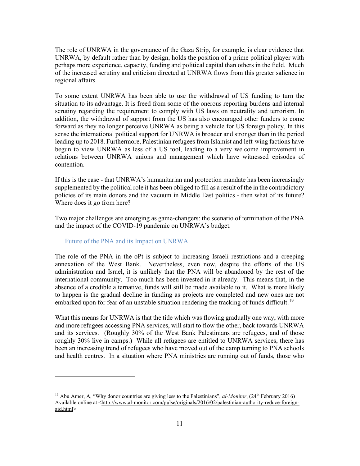The role of UNRWA in the governance of the Gaza Strip, for example, is clear evidence that UNRWA, by default rather than by design, holds the position of a prime political player with perhaps more experience, capacity, funding and political capital than others in the field. Much of the increased scrutiny and criticism directed at UNRWA flows from this greater salience in regional affairs.

To some extent UNRWA has been able to use the withdrawal of US funding to turn the situation to its advantage. It is freed from some of the onerous reporting burdens and internal scrutiny regarding the requirement to comply with US laws on neutrality and terrorism. In addition, the withdrawal of support from the US has also encouraged other funders to come forward as they no longer perceive UNRWA as being a vehicle for US foreign policy. In this sense the international political support for UNRWA is broader and stronger than in the period leading up to 2018. Furthermore, Palestinian refugees from Islamist and left-wing factions have begun to view UNRWA as less of a US tool, leading to a very welcome improvement in relations between UNRWA unions and management which have witnessed episodes of contention.

If this is the case - that UNRWA's humanitarian and protection mandate has been increasingly supplemented by the political role it has been obliged to fill as a result of the in the contradictory policies of its main donors and the vacuum in Middle East politics - then what of its future? Where does it go from here?

Two major challenges are emerging as game-changers: the scenario of termination of the PNA and the impact of the COVID-19 pandemic on UNRWA's budget.

#### Future of the PNA and its Impact on UNRWA

The role of the PNA in the oPt is subject to increasing Israeli restrictions and a creeping annexation of the West Bank. Nevertheless, even now, despite the efforts of the US administration and Israel, it is unlikely that the PNA will be abandoned by the rest of the international community. Too much has been invested in it already. This means that, in the absence of a credible alternative, funds will still be made available to it. What is more likely to happen is the gradual decline in funding as projects are completed and new ones are not embarked upon for fear of an unstable situation rendering the tracking of funds difficult.<sup>19</sup>

What this means for UNRWA is that the tide which was flowing gradually one way, with more and more refugees accessing PNA services, will start to flow the other, back towards UNRWA and its services. (Roughly 30% of the West Bank Palestinians are refugees, and of those roughly 30% live in camps.) While all refugees are entitled to UNRWA services, there has been an increasing trend of refugees who have moved out of the camp turning to PNA schools and health centres. In a situation where PNA ministries are running out of funds, those who

<sup>&</sup>lt;sup>19</sup> Abu Amer, A, "Why donor countries are giving less to the Palestinians", *al-Monitor*,  $(24<sup>th</sup>$  February 2016) Available online at <http://www.al-monitor.com/pulse/originals/2016/02/palestinian-authority-reduce-foreignaid.html>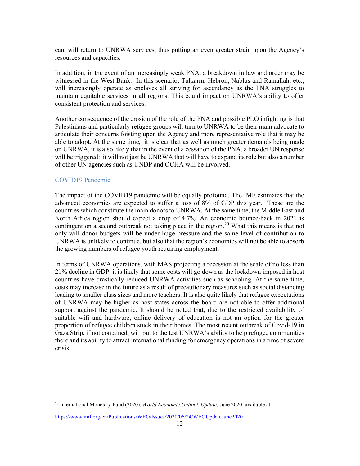can, will return to UNRWA services, thus putting an even greater strain upon the Agency's resources and capacities.

In addition, in the event of an increasingly weak PNA, a breakdown in law and order may be witnessed in the West Bank. In this scenario, Tulkarm, Hebron, Nablus and Ramallah, etc., will increasingly operate as enclaves all striving for ascendancy as the PNA struggles to maintain equitable services in all regions. This could impact on UNRWA's ability to offer consistent protection and services.

Another consequence of the erosion of the role of the PNA and possible PLO infighting is that Palestinians and particularly refugee groups will turn to UNRWA to be their main advocate to articulate their concerns foisting upon the Agency and more representative role that it may be able to adopt. At the same time, it is clear that as well as much greater demands being made on UNRWA, it is also likely that in the event of a cessation of the PNA, a broader UN response will be triggered: it will not just be UNRWA that will have to expand its role but also a number of other UN agencies such as UNDP and OCHA will be involved.

## COVID19 Pandemic

The impact of the COVID19 pandemic will be equally profound. The IMF estimates that the advanced economies are expected to suffer a loss of 8% of GDP this year. These are the countries which constitute the main donors to UNRWA. At the same time, the Middle East and North Africa region should expect a drop of 4.7%. An economic bounce-back in 2021 is contingent on a second outbreak not taking place in the region.<sup>20</sup> What this means is that not only will donor budgets will be under huge pressure and the same level of contribution to UNRWA is unlikely to continue, but also that the region's economies will not be able to absorb the growing numbers of refugee youth requiring employment.

In terms of UNRWA operations, with MAS projecting a recession at the scale of no less than 21% decline in GDP, it is likely that some costs will go down as the lockdown imposed in host countries have drastically reduced UNRWA activities such as schooling. At the same time, costs may increase in the future as a result of precautionary measures such as social distancing leading to smaller class sizes and more teachers. It is also quite likely that refugee expectations of UNRWA may be higher as host states across the board are not able to offer additional support against the pandemic. It should be noted that, due to the restricted availability of suitable wifi and hardware, online delivery of education is not an option for the greater proportion of refugee children stuck in their homes. The most recent outbreak of Covid-19 in Gaza Strip, if not contained, will put to the test UNRWA's ability to help refugee communities there and its ability to attract international funding for emergency operations in a time of severe crisis.

 $20$  International Monetary Fund (2020), *World Economic Outlook Update*, June 2020; available at:

https://www.imf.org/en/Publications/WEO/Issues/2020/06/24/WEOUpdateJune2020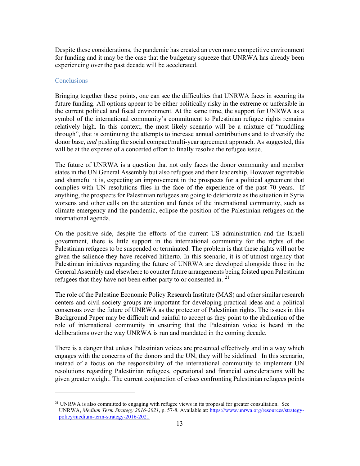Despite these considerations, the pandemic has created an even more competitive environment for funding and it may be the case that the budgetary squeeze that UNRWA has already been experiencing over the past decade will be accelerated.

#### **Conclusions**

Bringing together these points, one can see the difficulties that UNRWA faces in securing its future funding. All options appear to be either politically risky in the extreme or unfeasible in the current political and fiscal environment. At the same time, the support for UNRWA as a symbol of the international community's commitment to Palestinian refugee rights remains relatively high. In this context, the most likely scenario will be a mixture of "muddling through", that is continuing the attempts to increase annual contributions and to diversify the donor base, *and* pushing the social compact/multi-year agreement approach. As suggested, this will be at the expense of a concerted effort to finally resolve the refugee issue.

The future of UNRWA is a question that not only faces the donor community and member states in the UN General Assembly but also refugees and their leadership. However regrettable and shameful it is, expecting an improvement in the prospects for a political agreement that complies with UN resolutions flies in the face of the experience of the past 70 years. If anything, the prospects for Palestinian refugees are going to deteriorate as the situation in Syria worsens and other calls on the attention and funds of the international community, such as climate emergency and the pandemic, eclipse the position of the Palestinian refugees on the international agenda.

On the positive side, despite the efforts of the current US administration and the Israeli government, there is little support in the international community for the rights of the Palestinian refugees to be suspended or terminated. The problem is that these rights will not be given the salience they have received hitherto. In this scenario, it is of utmost urgency that Palestinian initiatives regarding the future of UNRWA are developed alongside those in the General Assembly and elsewhere to counter future arrangements being foisted upon Palestinian refugees that they have not been either party to or consented in.  $21$ 

The role of the Palestine Economic Policy Research Institute (MAS) and other similar research centers and civil society groups are important for developing practical ideas and a political consensus over the future of UNRWA as the protector of Palestinian rights. The issues in this Background Paper may be difficult and painful to accept as they point to the abdication of the role of international community in ensuring that the Palestinian voice is heard in the deliberations over the way UNRWA is run and mandated in the coming decade.

There is a danger that unless Palestinian voices are presented effectively and in a way which engages with the concerns of the donors and the UN, they will be sidelined. In this scenario, instead of a focus on the responsibility of the international community to implement UN resolutions regarding Palestinian refugees, operational and financial considerations will be given greater weight. The current conjunction of crises confronting Palestinian refugees points

<sup>&</sup>lt;sup>21</sup> UNRWA is also committed to engaging with refugee views in its proposal for greater consultation. See UNRWA, Medium Term Strategy 2016-2021, p. 57-8. Available at: https://www.unrwa.org/resources/strategypolicy/medium-term-strategy-2016-2021